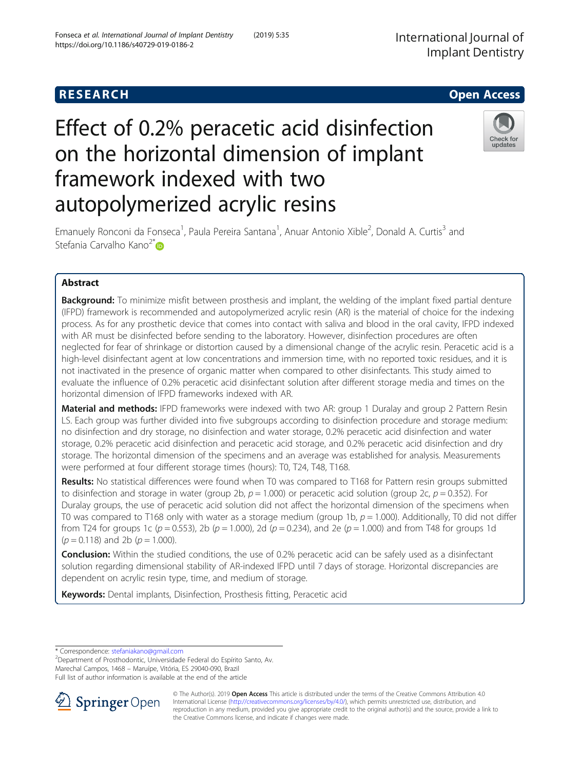# Effect of 0.2% peracetic acid disinfection on the horizontal dimension of implant framework indexed with two autopolymerized acrylic resins



Emanuely Ronconi da Fonseca<sup>1</sup>, Paula Pereira Santana<sup>1</sup>, Anuar Antonio Xible<sup>2</sup>, Donald A. Curtis<sup>3</sup> and Stefania Carvalho Kano<sup>2\*</sup>

# Abstract

**Background:** To minimize misfit between prosthesis and implant, the welding of the implant fixed partial denture (IFPD) framework is recommended and autopolymerized acrylic resin (AR) is the material of choice for the indexing process. As for any prosthetic device that comes into contact with saliva and blood in the oral cavity, IFPD indexed with AR must be disinfected before sending to the laboratory. However, disinfection procedures are often neglected for fear of shrinkage or distortion caused by a dimensional change of the acrylic resin. Peracetic acid is a high-level disinfectant agent at low concentrations and immersion time, with no reported toxic residues, and it is not inactivated in the presence of organic matter when compared to other disinfectants. This study aimed to evaluate the influence of 0.2% peracetic acid disinfectant solution after different storage media and times on the horizontal dimension of IFPD frameworks indexed with AR.

Material and methods: IFPD frameworks were indexed with two AR: group 1 Duralay and group 2 Pattern Resin LS. Each group was further divided into five subgroups according to disinfection procedure and storage medium: no disinfection and dry storage, no disinfection and water storage, 0.2% peracetic acid disinfection and water storage, 0.2% peracetic acid disinfection and peracetic acid storage, and 0.2% peracetic acid disinfection and dry storage. The horizontal dimension of the specimens and an average was established for analysis. Measurements were performed at four different storage times (hours): T0, T24, T48, T168.

Results: No statistical differences were found when T0 was compared to T168 for Pattern resin groups submitted to disinfection and storage in water (group 2b,  $p = 1.000$ ) or peracetic acid solution (group 2c,  $p = 0.352$ ). For Duralay groups, the use of peracetic acid solution did not affect the horizontal dimension of the specimens when T0 was compared to T168 only with water as a storage medium (group 1b,  $p = 1.000$ ). Additionally, T0 did not differ from T24 for groups 1c ( $p = 0.553$ ), 2b ( $p = 1.000$ ), 2d ( $p = 0.234$ ), and 2e ( $p = 1.000$ ) and from T48 for groups 1d  $(p = 0.118)$  and 2b  $(p = 1.000)$ .

Conclusion: Within the studied conditions, the use of 0.2% peracetic acid can be safely used as a disinfectant solution regarding dimensional stability of AR-indexed IFPD until 7 days of storage. Horizontal discrepancies are dependent on acrylic resin type, time, and medium of storage.

Keywords: Dental implants, Disinfection, Prosthesis fitting, Peracetic acid

\* Correspondence: [stefaniakano@gmail.com](mailto:stefaniakano@gmail.com) <sup>2</sup>

<sup>2</sup>Department of Prosthodontic, Universidade Federal do Espírito Santo, Av. Marechal Campos, 1468 – Maruípe, Vitória, ES 29040-090, Brazil Full list of author information is available at the end of the article



© The Author(s). 2019 **Open Access** This article is distributed under the terms of the Creative Commons Attribution 4.0 International License ([http://creativecommons.org/licenses/by/4.0/\)](http://creativecommons.org/licenses/by/4.0/), which permits unrestricted use, distribution, and reproduction in any medium, provided you give appropriate credit to the original author(s) and the source, provide a link to the Creative Commons license, and indicate if changes were made.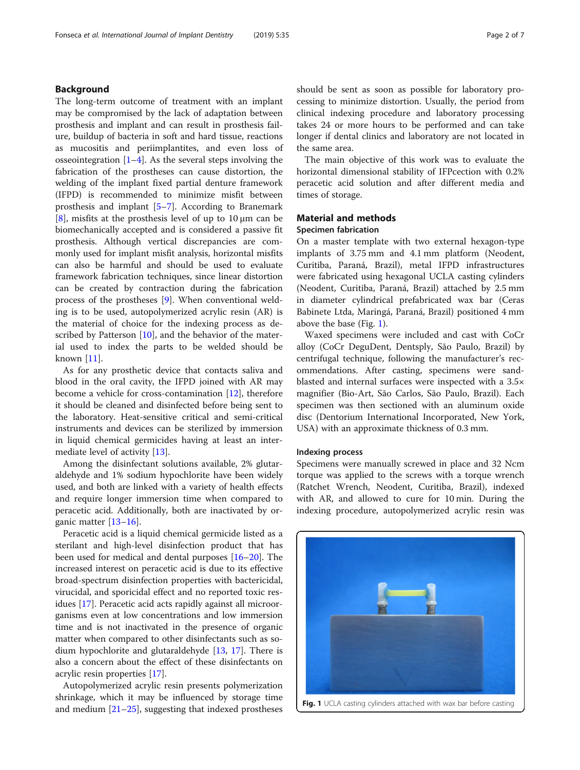The long-term outcome of treatment with an implant may be compromised by the lack of adaptation between prosthesis and implant and can result in prosthesis failure, buildup of bacteria in soft and hard tissue, reactions as mucositis and periimplantites, and even loss of osseointegration  $[1-4]$  $[1-4]$  $[1-4]$  $[1-4]$  $[1-4]$ . As the several steps involving the fabrication of the prostheses can cause distortion, the welding of the implant fixed partial denture framework (IFPD) is recommended to minimize misfit between prosthesis and implant [[5](#page-5-0)–[7](#page-6-0)]. According to Branemark [[8\]](#page-6-0), misfits at the prosthesis level of up to  $10 \mu m$  can be biomechanically accepted and is considered a passive fit prosthesis. Although vertical discrepancies are commonly used for implant misfit analysis, horizontal misfits can also be harmful and should be used to evaluate framework fabrication techniques, since linear distortion can be created by contraction during the fabrication process of the prostheses [[9\]](#page-6-0). When conventional welding is to be used, autopolymerized acrylic resin (AR) is the material of choice for the indexing process as de-scribed by Patterson [\[10\]](#page-6-0), and the behavior of the material used to index the parts to be welded should be known [[11](#page-6-0)].

As for any prosthetic device that contacts saliva and blood in the oral cavity, the IFPD joined with AR may become a vehicle for cross-contamination [\[12](#page-6-0)], therefore it should be cleaned and disinfected before being sent to the laboratory. Heat-sensitive critical and semi-critical instruments and devices can be sterilized by immersion in liquid chemical germicides having at least an intermediate level of activity [\[13](#page-6-0)].

Among the disinfectant solutions available, 2% glutaraldehyde and 1% sodium hypochlorite have been widely used, and both are linked with a variety of health effects and require longer immersion time when compared to peracetic acid. Additionally, both are inactivated by organic matter [\[13](#page-6-0)–[16\]](#page-6-0).

Peracetic acid is a liquid chemical germicide listed as a sterilant and high-level disinfection product that has been used for medical and dental purposes [\[16](#page-6-0)–[20\]](#page-6-0). The increased interest on peracetic acid is due to its effective broad-spectrum disinfection properties with bactericidal, virucidal, and sporicidal effect and no reported toxic residues [[17\]](#page-6-0). Peracetic acid acts rapidly against all microorganisms even at low concentrations and low immersion time and is not inactivated in the presence of organic matter when compared to other disinfectants such as sodium hypochlorite and glutaraldehyde [[13,](#page-6-0) [17](#page-6-0)]. There is also a concern about the effect of these disinfectants on acrylic resin properties [\[17\]](#page-6-0).

Autopolymerized acrylic resin presents polymerization shrinkage, which it may be influenced by storage time and medium [[21](#page-6-0)–[25](#page-6-0)], suggesting that indexed prostheses should be sent as soon as possible for laboratory processing to minimize distortion. Usually, the period from clinical indexing procedure and laboratory processing takes 24 or more hours to be performed and can take longer if dental clinics and laboratory are not located in the same area.

The main objective of this work was to evaluate the horizontal dimensional stability of IFPcection with 0.2% peracetic acid solution and after different media and times of storage.

#### Material and methods

#### Specimen fabrication

On a master template with two external hexagon-type implants of 3.75 mm and 4.1 mm platform (Neodent, Curitiba, Paraná, Brazil), metal IFPD infrastructures were fabricated using hexagonal UCLA casting cylinders (Neodent, Curitiba, Paraná, Brazil) attached by 2.5 mm in diameter cylindrical prefabricated wax bar (Ceras Babinete Ltda, Maringá, Paraná, Brazil) positioned 4 mm above the base (Fig. 1).

Waxed specimens were included and cast with CoCr alloy (CoCr DeguDent, Dentsply, São Paulo, Brazil) by centrifugal technique, following the manufacturer's recommendations. After casting, specimens were sandblasted and internal surfaces were inspected with a 3.5× magnifier (Bio-Art, São Carlos, São Paulo, Brazil). Each specimen was then sectioned with an aluminum oxide disc (Dentorium International Incorporated, New York, USA) with an approximate thickness of 0.3 mm.

#### Indexing process

Specimens were manually screwed in place and 32 Ncm torque was applied to the screws with a torque wrench (Ratchet Wrench, Neodent, Curitiba, Brazil), indexed with AR, and allowed to cure for 10 min. During the indexing procedure, autopolymerized acrylic resin was



Fig. 1 UCLA casting cylinders attached with wax bar before casting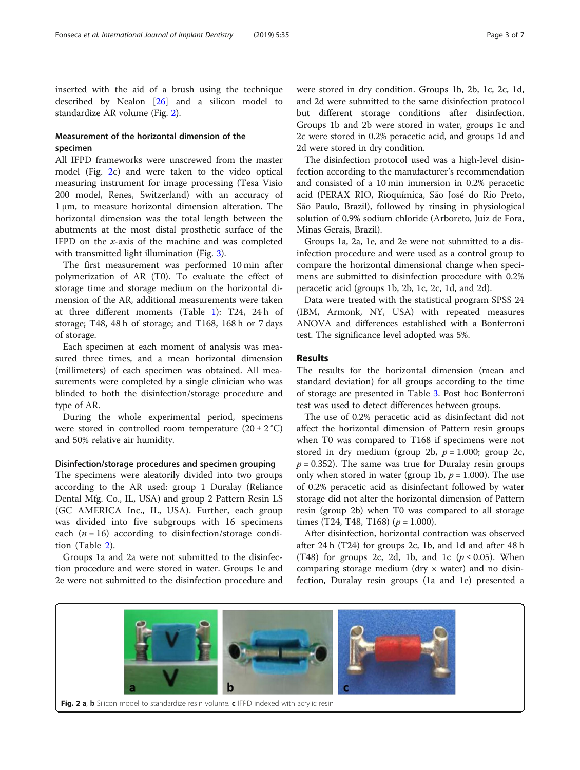inserted with the aid of a brush using the technique described by Nealon [\[26\]](#page-6-0) and a silicon model to standardize AR volume (Fig. 2).

# Measurement of the horizontal dimension of the specimen

All IFPD frameworks were unscrewed from the master model (Fig. 2c) and were taken to the video optical measuring instrument for image processing (Tesa Visio 200 model, Renes, Switzerland) with an accuracy of 1 μm, to measure horizontal dimension alteration. The horizontal dimension was the total length between the abutments at the most distal prosthetic surface of the IFPD on the  $x$ -axis of the machine and was completed with transmitted light illumination (Fig. [3](#page-3-0)).

The first measurement was performed 10 min after polymerization of AR (T0). To evaluate the effect of storage time and storage medium on the horizontal dimension of the AR, additional measurements were taken at three different moments (Table [1\)](#page-3-0): T24, 24 h of storage; T48, 48 h of storage; and T168, 168 h or 7 days of storage.

Each specimen at each moment of analysis was measured three times, and a mean horizontal dimension (millimeters) of each specimen was obtained. All measurements were completed by a single clinician who was blinded to both the disinfection/storage procedure and type of AR.

During the whole experimental period, specimens were stored in controlled room temperature  $(20 \pm 2 \degree C)$ and 50% relative air humidity.

#### Disinfection/storage procedures and specimen grouping

The specimens were aleatorily divided into two groups according to the AR used: group 1 Duralay (Reliance Dental Mfg. Co., IL, USA) and group 2 Pattern Resin LS (GC AMERICA Inc., IL, USA). Further, each group was divided into five subgroups with 16 specimens each  $(n = 16)$  according to disinfection/storage condition (Table [2\)](#page-3-0).

Groups 1a and 2a were not submitted to the disinfection procedure and were stored in water. Groups 1e and 2e were not submitted to the disinfection procedure and were stored in dry condition. Groups 1b, 2b, 1c, 2c, 1d, and 2d were submitted to the same disinfection protocol but different storage conditions after disinfection. Groups 1b and 2b were stored in water, groups 1c and 2c were stored in 0.2% peracetic acid, and groups 1d and 2d were stored in dry condition.

The disinfection protocol used was a high-level disinfection according to the manufacturer's recommendation and consisted of a 10 min immersion in 0.2% peracetic acid (PERAX RIO, Rioquímica, São José do Rio Preto, São Paulo, Brazil), followed by rinsing in physiological solution of 0.9% sodium chloride (Arboreto, Juiz de Fora, Minas Gerais, Brazil).

Groups 1a, 2a, 1e, and 2e were not submitted to a disinfection procedure and were used as a control group to compare the horizontal dimensional change when specimens are submitted to disinfection procedure with 0.2% peracetic acid (groups 1b, 2b, 1c, 2c, 1d, and 2d).

Data were treated with the statistical program SPSS 24 (IBM, Armonk, NY, USA) with repeated measures ANOVA and differences established with a Bonferroni test. The significance level adopted was 5%.

#### Results

The results for the horizontal dimension (mean and standard deviation) for all groups according to the time of storage are presented in Table [3.](#page-4-0) Post hoc Bonferroni test was used to detect differences between groups.

The use of 0.2% peracetic acid as disinfectant did not affect the horizontal dimension of Pattern resin groups when T0 was compared to T168 if specimens were not stored in dry medium (group 2b,  $p = 1.000$ ; group 2c,  $p = 0.352$ ). The same was true for Duralay resin groups only when stored in water (group 1b,  $p = 1.000$ ). The use of 0.2% peracetic acid as disinfectant followed by water storage did not alter the horizontal dimension of Pattern resin (group 2b) when T0 was compared to all storage times (T24, T48, T168) ( $p = 1.000$ ).

After disinfection, horizontal contraction was observed after 24 h (T24) for groups 2c, 1b, and 1d and after 48 h (T48) for groups 2c, 2d, 1b, and 1c ( $p \le 0.05$ ). When comparing storage medium (dry  $\times$  water) and no disinfection, Duralay resin groups (1a and 1e) presented a



Fig. 2 a, b Silicon model to standardize resin volume. c IFPD indexed with acrylic resin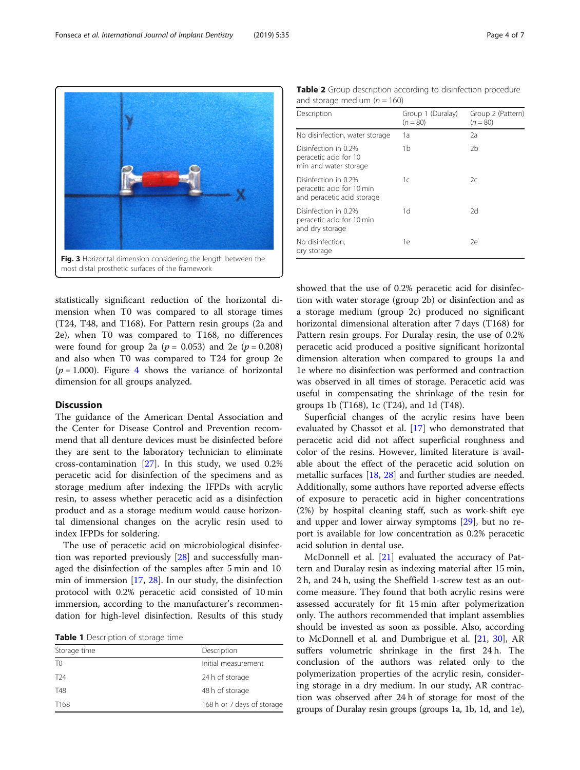<span id="page-3-0"></span>

statistically significant reduction of the horizontal dimension when T0 was compared to all storage times (T24, T48, and T168). For Pattern resin groups (2a and 2e), when T0 was compared to T168, no differences were found for group 2a ( $p = 0.053$ ) and 2e ( $p = 0.208$ ) and also when T0 was compared to T24 for group 2e  $(p = 1.000)$ . Figure [4](#page-5-0) shows the variance of horizontal dimension for all groups analyzed.

#### **Discussion**

The guidance of the American Dental Association and the Center for Disease Control and Prevention recommend that all denture devices must be disinfected before they are sent to the laboratory technician to eliminate cross-contamination [[27](#page-6-0)]. In this study, we used 0.2% peracetic acid for disinfection of the specimens and as storage medium after indexing the IFPDs with acrylic resin, to assess whether peracetic acid as a disinfection product and as a storage medium would cause horizontal dimensional changes on the acrylic resin used to index IFPDs for soldering.

The use of peracetic acid on microbiological disinfection was reported previously [\[28](#page-6-0)] and successfully managed the disinfection of the samples after 5 min and 10 min of immersion [\[17](#page-6-0), [28](#page-6-0)]. In our study, the disinfection protocol with 0.2% peracetic acid consisted of 10 min immersion, according to the manufacturer's recommendation for high-level disinfection. Results of this study

Table 1 Description of storage time

| Storage time     | Description                |
|------------------|----------------------------|
| T <sub>0</sub>   | Initial measurement        |
| T <sub>24</sub>  | 24 h of storage            |
| T48              | 48 h of storage            |
| T <sub>168</sub> | 168 h or 7 days of storage |

Table 2 Group description according to disinfection procedure and storage medium  $(n = 160)$ 

| Description                                                                     | Group 1 (Duralay)<br>$(n = 80)$ | Group 2 (Pattern)<br>$(n = 80)$ |
|---------------------------------------------------------------------------------|---------------------------------|---------------------------------|
| No disinfection, water storage                                                  | 1a                              | 2a                              |
| Disinfection in 0.2%<br>peracetic acid for 10<br>min and water storage          | 1b                              | 2 <sub>b</sub>                  |
| Disinfection in 0.2%<br>peracetic acid for 10 min<br>and peracetic acid storage | 1с                              | 2c                              |
| Disinfection in 0.2%<br>peracetic acid for 10 min<br>and dry storage            | 1d                              | 2d                              |
| No disinfection,<br>dry storage                                                 | 1e                              | 2e                              |

showed that the use of 0.2% peracetic acid for disinfection with water storage (group 2b) or disinfection and as a storage medium (group 2c) produced no significant horizontal dimensional alteration after 7 days (T168) for Pattern resin groups. For Duralay resin, the use of 0.2% peracetic acid produced a positive significant horizontal dimension alteration when compared to groups 1a and 1e where no disinfection was performed and contraction was observed in all times of storage. Peracetic acid was useful in compensating the shrinkage of the resin for groups 1b (T168), 1c (T24), and 1d (T48).

Superficial changes of the acrylic resins have been evaluated by Chassot et al. [\[17](#page-6-0)] who demonstrated that peracetic acid did not affect superficial roughness and color of the resins. However, limited literature is available about the effect of the peracetic acid solution on metallic surfaces [\[18,](#page-6-0) [28](#page-6-0)] and further studies are needed. Additionally, some authors have reported adverse effects of exposure to peracetic acid in higher concentrations (2%) by hospital cleaning staff, such as work-shift eye and upper and lower airway symptoms [[29\]](#page-6-0), but no report is available for low concentration as 0.2% peracetic acid solution in dental use.

McDonnell et al. [\[21\]](#page-6-0) evaluated the accuracy of Pattern and Duralay resin as indexing material after 15 min, 2 h, and 24 h, using the Sheffield 1-screw test as an outcome measure. They found that both acrylic resins were assessed accurately for fit 15 min after polymerization only. The authors recommended that implant assemblies should be invested as soon as possible. Also, according to McDonnell et al. and Dumbrigue et al. [\[21](#page-6-0), [30](#page-6-0)], AR suffers volumetric shrinkage in the first 24 h. The conclusion of the authors was related only to the polymerization properties of the acrylic resin, considering storage in a dry medium. In our study, AR contraction was observed after 24 h of storage for most of the groups of Duralay resin groups (groups 1a, 1b, 1d, and 1e),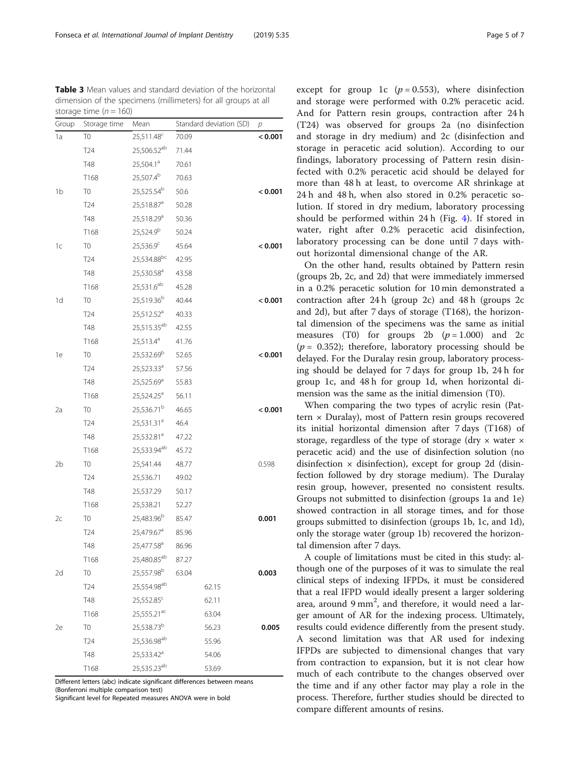except for group 1c  $(p = 0.553)$ , where disinfection and storage were performed with 0.2% peracetic acid. And for Pattern resin groups, contraction after 24 h (T24) was observed for groups 2a (no disinfection and storage in dry medium) and 2c (disinfection and storage in peracetic acid solution). According to our findings, laboratory processing of Pattern resin disinfected with 0.2% peracetic acid should be delayed for more than 48 h at least, to overcome AR shrinkage at 24 h and 48 h, when also stored in 0.2% peracetic solution. If stored in dry medium, laboratory processing should be performed within 24 h (Fig. [4](#page-5-0)). If stored in water, right after 0.2% peracetic acid disinfection, laboratory processing can be done until 7 days without horizontal dimensional change of the AR.

On the other hand, results obtained by Pattern resin (groups 2b, 2c, and 2d) that were immediately immersed in a 0.2% peracetic solution for 10 min demonstrated a contraction after 24 h (group 2c) and 48 h (groups 2c and 2d), but after 7 days of storage (T168), the horizontal dimension of the specimens was the same as initial measures (T0) for groups 2b  $(p = 1.000)$  and 2c  $(p = 0.352)$ ; therefore, laboratory processing should be delayed. For the Duralay resin group, laboratory processing should be delayed for 7 days for group 1b, 24 h for group 1c, and 48 h for group 1d, when horizontal dimension was the same as the initial dimension (T0).

When comparing the two types of acrylic resin (Pattern  $\times$  Duralay), most of Pattern resin groups recovered its initial horizontal dimension after 7 days (T168) of storage, regardless of the type of storage (dry × water × peracetic acid) and the use of disinfection solution (no disinfection  $\times$  disinfection), except for group 2d (disinfection followed by dry storage medium). The Duralay resin group, however, presented no consistent results. Groups not submitted to disinfection (groups 1a and 1e) showed contraction in all storage times, and for those groups submitted to disinfection (groups 1b, 1c, and 1d), only the storage water (group 1b) recovered the horizontal dimension after 7 days.

A couple of limitations must be cited in this study: although one of the purposes of it was to simulate the real clinical steps of indexing IFPDs, it must be considered that a real IFPD would ideally present a larger soldering area, around 9 mm<sup>2</sup>, and therefore, it would need a larger amount of AR for the indexing process. Ultimately, results could evidence differently from the present study. A second limitation was that AR used for indexing IFPDs are subjected to dimensional changes that vary from contraction to expansion, but it is not clear how much of each contribute to the changes observed over the time and if any other factor may play a role in the process. Therefore, further studies should be directed to compare different amounts of resins.

<span id="page-4-0"></span>Table 3 Mean values and standard deviation of the horizontal dimension of the specimens (millimeters) for all groups at all storage time ( $n = 160$ )

| Group | Storage time     | Mean                    | Standard deviation (SD) | р       |
|-------|------------------|-------------------------|-------------------------|---------|
| 1a    | T0               | 25,511.48 <sup>c</sup>  | 70.09                   | < 0.001 |
|       | <b>T24</b>       | 25,506.52 <sup>ab</sup> | 71.44                   |         |
|       | T48              | 25,504.1 <sup>a</sup>   | 70.61                   |         |
|       | T168             | 25,507.4 <sup>b</sup>   | 70.63                   |         |
| 1b    | T <sub>0</sub>   | 25,525.54 <sup>b</sup>  | 50.6                    | < 0.001 |
|       | T <sub>24</sub>  | 25,518.87 <sup>a</sup>  | 50.28                   |         |
|       | T48              | 25,518.29 <sup>a</sup>  | 50.36                   |         |
|       | T168             | 25,524.9 <sup>b</sup>   | 50.24                   |         |
| 1c    | T <sub>0</sub>   | 25,536.9°               | 45.64                   | < 0.001 |
|       | T <sub>24</sub>  | 25,534.88bc             | 42.95                   |         |
|       | T48              | 25,530.58 <sup>a</sup>  | 43.58                   |         |
|       | T168             | 25,531.6 <sup>ab</sup>  | 45.28                   |         |
| 1d    | T <sub>0</sub>   | 25,519.36 <sup>b</sup>  | 40.44                   | < 0.001 |
|       | T <sub>24</sub>  | 25,512.52 <sup>a</sup>  | 40.33                   |         |
|       | <b>T48</b>       | 25,515.35 <sup>ab</sup> | 42.55                   |         |
|       | T168             | 25,513.4 <sup>a</sup>   | 41.76                   |         |
| 1e    | T <sub>0</sub>   | 25,532.69 <sup>b</sup>  | 52.65                   | < 0.001 |
|       | T <sub>24</sub>  | $25,523.33^{a}$         | 57.56                   |         |
|       | T48              | 25,525.69 <sup>a</sup>  | 55.83                   |         |
|       | T168             | $25,524.25^a$           | 56.11                   |         |
| 2a    | T <sub>0</sub>   | 25,536.71 <sup>b</sup>  | 46.65                   | < 0.001 |
|       | T <sub>24</sub>  | 25,531.31 <sup>a</sup>  | 46.4                    |         |
|       | T48              | 25,532.81 <sup>a</sup>  | 47.22                   |         |
|       | T168             | 25,533.94 <sup>ab</sup> | 45.72                   |         |
| 2b    | T <sub>0</sub>   | 25,541.44               | 48.77                   | 0.598   |
|       | T <sub>24</sub>  | 25,536.71               | 49.02                   |         |
|       | T48              | 25,537.29               | 50.17                   |         |
|       | T168             | 25,538.21               | 52.27                   |         |
| 2c    | T <sub>0</sub>   | 25,483.96 <sup>b</sup>  | 85.47                   | 0.001   |
|       | T <sub>24</sub>  | 25,479.67 <sup>a</sup>  | 85.96                   |         |
|       | T48              | 25,477.58 <sup>a</sup>  | 86.96                   |         |
|       | T <sub>168</sub> | 25,480.85 <sup>ab</sup> | 87.27                   |         |
| 2d    | T <sub>0</sub>   | 25,557.98 <sup>b</sup>  | 63.04                   | 0.003   |
|       | T <sub>24</sub>  | 25,554.98 <sup>ab</sup> | 62.15                   |         |
|       | T48              | 25,552.85 <sup>c</sup>  | 62.11                   |         |
|       | T168             | 25,555.21 <sup>ac</sup> | 63.04                   |         |
| 2e    | T0               | 25,538.73 <sup>b</sup>  | 56.23                   | 0.005   |
|       | T <sub>24</sub>  | 25,536.98 <sup>ab</sup> | 55.96                   |         |
|       | T48              | 25,533.42 <sup>a</sup>  | 54.06                   |         |
|       | T168             | 25,535.23 <sup>ab</sup> | 53.69                   |         |

Different letters (abc) indicate significant differences between means (Bonferroni multiple comparison test)

Significant level for Repeated measures ANOVA were in bold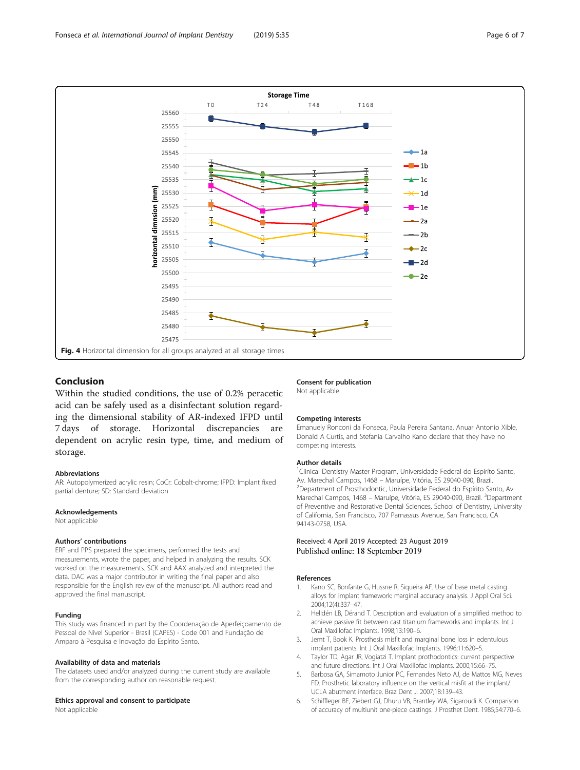<span id="page-5-0"></span>

### Conclusion

Within the studied conditions, the use of 0.2% peracetic acid can be safely used as a disinfectant solution regarding the dimensional stability of AR-indexed IFPD until 7 days of storage. Horizontal discrepancies are dependent on acrylic resin type, time, and medium of storage.

#### Abbreviations

AR: Autopolymerized acrylic resin; CoCr: Cobalt-chrome; IFPD: Implant fixed partial denture; SD: Standard deviation

#### Acknowledgements

Not applicable

#### Authors' contributions

ERF and PPS prepared the specimens, performed the tests and measurements, wrote the paper, and helped in analyzing the results. SCK worked on the measurements. SCK and AAX analyzed and interpreted the data. DAC was a major contributor in writing the final paper and also responsible for the English review of the manuscript. All authors read and approved the final manuscript.

#### Funding

This study was financed in part by the Coordenação de Aperfeiçoamento de Pessoal de Nível Superior - Brasil (CAPES) - Code 001 and Fundação de Amparo à Pesquisa e Inovação do Espírito Santo.

#### Availability of data and materials

The datasets used and/or analyzed during the current study are available from the corresponding author on reasonable request.

#### Ethics approval and consent to participate

Not applicable

# Consent for publication

Not applicable

#### Competing interests

Emanuely Ronconi da Fonseca, Paula Pereira Santana, Anuar Antonio Xible, Donald A Curtis, and Stefania Carvalho Kano declare that they have no competing interests.

#### Author details

<sup>1</sup> Clinical Dentistry Master Program, Universidade Federal do Espiríto Santo, Av. Marechal Campos, 1468 – Maruípe, Vitória, ES 29040-090, Brazil. <sup>2</sup> <sup>2</sup>Department of Prosthodontic, Universidade Federal do Espírito Santo, Av. Marechal Campos, 1468 - Maruípe, Vitória, ES 29040-090, Brazil. <sup>3</sup>Department of Preventive and Restorative Dental Sciences, School of Dentistry, University of California, San Francisco, 707 Parnassus Avenue, San Francisco, CA 94143-0758, USA.

#### Received: 4 April 2019 Accepted: 23 August 2019 Published online: 18 September 2019

#### References

- 1. Kano SC, Bonfante G, Hussne R, Siqueira AF. Use of base metal casting alloys for implant framework: marginal accuracy analysis. J Appl Oral Sci. 2004;12(4):337–47.
- 2. Helldén LB, Dérand T. Description and evaluation of a simplified method to achieve passive fit between cast titanium frameworks and implants. Int J Oral Maxillofac Implants. 1998;13:190–6.
- 3. Jemt T, Book K. Prosthesis misfit and marginal bone loss in edentulous implant patients. Int J Oral Maxillofac Implants. 1996;11:620–5.
- 4. Taylor TD, Agar JR, Vogiatzi T. Implant prothodontics: current perspective and future directions. Int J Oral Maxillofac Implants. 2000;15:66–75.
- 5. Barbosa GA, Simamoto Junior PC, Fernandes Neto AJ, de Mattos MG, Neves FD. Prosthetic laboratory influence on the vertical misfit at the implant/ UCLA abutment interface. Braz Dent J. 2007;18:139–43.
- 6. Schiffleger BE, Ziebert GJ, Dhuru VB, Brantley WA, Sigaroudi K. Comparison of accuracy of multiunit one-piece castings. J Prosthet Dent. 1985;54:770–6.